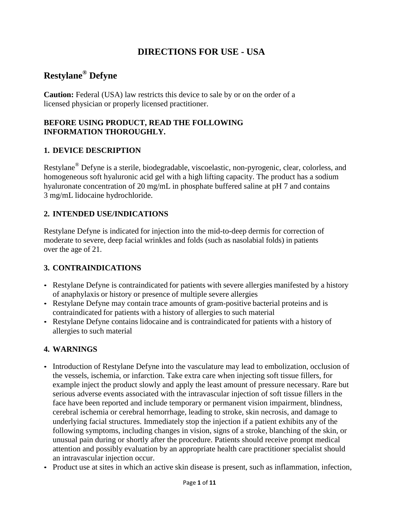# **DIRECTIONS FOR USE - USA**

# **Restylane® Defyne**

**Caution:** Federal (USA) law restricts this device to sale by or on the order of a licensed physician or properly licensed practitioner.

#### **BEFORE USING PRODUCT, READ THE FOLLOWING INFORMATION THOROUGHLY.**

### **1. DEVICE DESCRIPTION**

Restylane® Defyne is a sterile, biodegradable, viscoelastic, non-pyrogenic, clear, colorless, and homogeneous soft hyaluronic acid gel with a high lifting capacity. The product has a sodium hyaluronate concentration of 20 mg/mL in phosphate buffered saline at pH 7 and contains 3 mg/mL lidocaine hydrochloride.

### **2. INTENDED USE/INDICATIONS**

Restylane Defyne is indicated for injection into the mid-to-deep dermis for correction of moderate to severe, deep facial wrinkles and folds (such as nasolabial folds) in patients over the age of 21.

#### **3. CONTRAINDICATIONS**

- Restylane Defyne is contraindicated for patients with severe allergies manifested by a history of anaphylaxis or history or presence of multiple severe allergies
- Restylane Defyne may contain trace amounts of gram-positive bacterial proteins and is contraindicated for patients with a history of allergies to such material
- Restylane Defyne contains lidocaine and is contraindicated for patients with a history of allergies to such material

### **4. WARNINGS**

- Introduction of Restylane Defyne into the vasculature may lead to embolization, occlusion of the vessels, ischemia, or infarction. Take extra care when injecting soft tissue fillers, for example inject the product slowly and apply the least amount of pressure necessary. Rare but serious adverse events associated with the intravascular injection of soft tissue fillers in the face have been reported and include temporary or permanent vision impairment, blindness, cerebral ischemia or cerebral hemorrhage, leading to stroke, skin necrosis, and damage to underlying facial structures. Immediately stop the injection if a patient exhibits any of the following symptoms, including changes in vision, signs of a stroke, blanching of the skin, or unusual pain during or shortly after the procedure. Patients should receive prompt medical attention and possibly evaluation by an appropriate health care practitioner specialist should an intravascular injection occur.
- Product use at sites in which an active skin disease is present, such as inflammation, infection,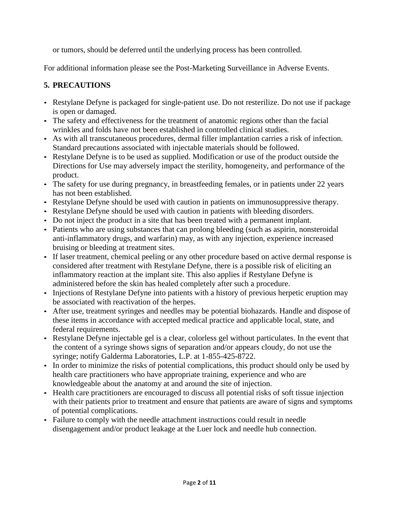or tumors, should be deferred until the underlying process has been controlled.

For additional information please see the Post-Marketing Surveillance in Adverse Events.

### **5. PRECAUTIONS**

- Restylane Defyne is packaged for single-patient use. Do not resterilize. Do not use if package is open or damaged.
- The safety and effectiveness for the treatment of anatomic regions other than the facial wrinkles and folds have not been established in controlled clinical studies.
- As with all transcutaneous procedures, dermal filler implantation carries a risk of infection. Standard precautions associated with injectable materials should be followed.
- Restylane Defyne is to be used as supplied. Modification or use of the product outside the Directions for Use may adversely impact the sterility, homogeneity, and performance of the product.
- The safety for use during pregnancy, in breastfeeding females, or in patients under 22 years has not been established.
- Restylane Defyne should be used with caution in patients on immunosuppressive therapy.
- Restylane Defyne should be used with caution in patients with bleeding disorders.
- Do not inject the product in a site that has been treated with a permanent implant.
- Patients who are using substances that can prolong bleeding (such as aspirin, nonsteroidal anti-inflammatory drugs, and warfarin) may, as with any injection, experience increased bruising or bleeding at treatment sites.
- If laser treatment, chemical peeling or any other procedure based on active dermal response is considered after treatment with Restylane Defyne, there is a possible risk of eliciting an inflammatory reaction at the implant site. This also applies if Restylane Defyne is administered before the skin has healed completely after such a procedure.
- Injections of Restylane Defyne into patients with a history of previous herpetic eruption may be associated with reactivation of the herpes.
- After use, treatment syringes and needles may be potential biohazards. Handle and dispose of these items in accordance with accepted medical practice and applicable local, state, and federal requirements.
- Restylane Defyne injectable gel is a clear, colorless gel without particulates. In the event that the content of a syringe shows signs of separation and/or appears cloudy, do not use the syringe; notify Galderma Laboratories, L.P. at 1-855-425-8722.
- In order to minimize the risks of potential complications, this product should only be used by health care practitioners who have appropriate training, experience and who are knowledgeable about the anatomy at and around the site of injection.
- Health care practitioners are encouraged to discuss all potential risks of soft tissue injection with their patients prior to treatment and ensure that patients are aware of signs and symptoms of potential complications.
- Failure to comply with the needle attachment instructions could result in needle disengagement and/or product leakage at the Luer lock and needle hub connection.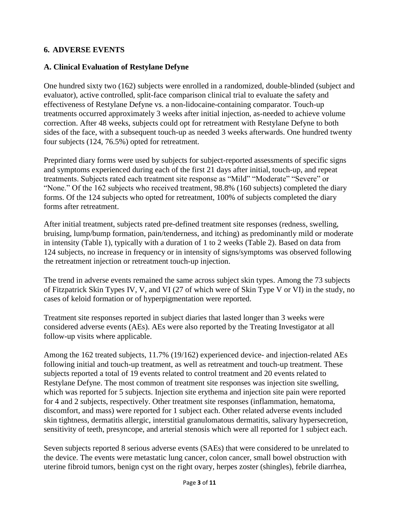#### **6. ADVERSE EVENTS**

#### **A. Clinical Evaluation of Restylane Defyne**

One hundred sixty two (162) subjects were enrolled in a randomized, double-blinded (subject and evaluator), active controlled, split-face comparison clinical trial to evaluate the safety and effectiveness of Restylane Defyne vs. a non-lidocaine-containing comparator. Touch-up treatments occurred approximately 3 weeks after initial injection, as-needed to achieve volume correction. After 48 weeks, subjects could opt for retreatment with Restylane Defyne to both sides of the face, with a subsequent touch-up as needed 3 weeks afterwards. One hundred twenty four subjects (124, 76.5%) opted for retreatment.

Preprinted diary forms were used by subjects for subject-reported assessments of specific signs and symptoms experienced during each of the first 21 days after initial, touch-up, and repeat treatments. Subjects rated each treatment site response as "Mild" "Moderate" "Severe" or "None." Of the 162 subjects who received treatment, 98.8% (160 subjects) completed the diary forms. Of the 124 subjects who opted for retreatment, 100% of subjects completed the diary forms after retreatment.

After initial treatment, subjects rated pre-defined treatment site responses (redness, swelling, bruising, lump/bump formation, pain/tenderness, and itching) as predominantly mild or moderate in intensity (Table 1), typically with a duration of 1 to 2 weeks (Table 2). Based on data from 124 subjects, no increase in frequency or in intensity of signs/symptoms was observed following the retreatment injection or retreatment touch-up injection.

The trend in adverse events remained the same across subject skin types. Among the 73 subjects of Fitzpatrick Skin Types IV, V, and VI (27 of which were of Skin Type V or VI) in the study, no cases of keloid formation or of hyperpigmentation were reported.

Treatment site responses reported in subject diaries that lasted longer than 3 weeks were considered adverse events (AEs). AEs were also reported by the Treating Investigator at all follow-up visits where applicable.

Among the 162 treated subjects, 11.7% (19/162) experienced device- and injection-related AEs following initial and touch-up treatment, as well as retreatment and touch-up treatment. These subjects reported a total of 19 events related to control treatment and 20 events related to Restylane Defyne. The most common of treatment site responses was injection site swelling, which was reported for 5 subjects. Injection site erythema and injection site pain were reported for 4 and 2 subjects, respectively. Other treatment site responses (inflammation, hematoma, discomfort, and mass) were reported for 1 subject each. Other related adverse events included skin tightness, dermatitis allergic, interstitial granulomatous dermatitis, salivary hypersecretion, sensitivity of teeth, presyncope, and arterial stenosis which were all reported for 1 subject each.

Seven subjects reported 8 serious adverse events (SAEs) that were considered to be unrelated to the device. The events were metastatic lung cancer, colon cancer, small bowel obstruction with uterine fibroid tumors, benign cyst on the right ovary, herpes zoster (shingles), febrile diarrhea,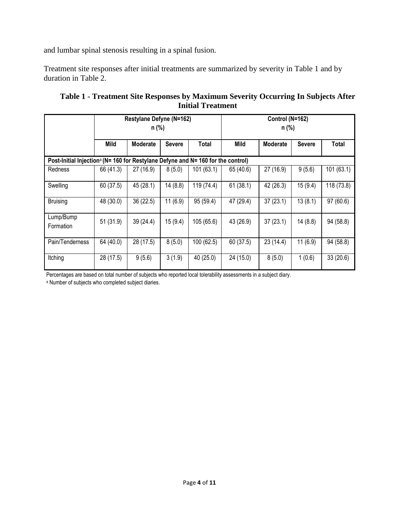and lumbar spinal stenosis resulting in a spinal fusion.

Treatment site responses after initial treatments are summarized by severity in Table 1 and by duration in Table 2.

|                                                                                              | Restylane Defyne (N=162)<br>n (%) |                 |               |            | Control (N=162)<br>n (%) |                 |               |            |
|----------------------------------------------------------------------------------------------|-----------------------------------|-----------------|---------------|------------|--------------------------|-----------------|---------------|------------|
|                                                                                              |                                   |                 |               |            |                          |                 |               |            |
|                                                                                              | Mild                              | <b>Moderate</b> | <b>Severe</b> | Total      | Mild                     | <b>Moderate</b> | <b>Severe</b> | Total      |
| Post-Initial Injection <sup>a</sup> (N= 160 for Restylane Defyne and N= 160 for the control) |                                   |                 |               |            |                          |                 |               |            |
| Redness                                                                                      | 66 (41.3)                         | 27 (16.9)       | 8(5.0)        | 101(63.1)  | 65 (40.6)                | 27 (16.9)       | 9(5.6)        | 101(63.1)  |
| Swelling                                                                                     | 60 (37.5)                         | 45 (28.1)       | 14(8.8)       | 119 (74.4) | 61(38.1)                 | 42 (26.3)       | 15(9.4)       | 118 (73.8) |
| <b>Bruising</b>                                                                              | 48 (30.0)                         | 36(22.5)        | 11(6.9)       | 95 (59.4)  | 47 (29.4)                | 37(23.1)        | 13(8.1)       | 97(60.6)   |
| Lump/Bump<br>Formation                                                                       | 51(31.9)                          | 39(24.4)        | 15(9.4)       | 105 (65.6) | 43 (26.9)                | 37(23.1)        | 14(8.8)       | 94 (58.8)  |
| Pain/Tenderness                                                                              | 64 (40.0)                         | 28 (17.5)       | 8(5.0)        | 100 (62.5) | 60(37.5)                 | 23 (14.4)       | 11(6.9)       | 94 (58.8)  |
| Itching                                                                                      | 28 (17.5)                         | 9(5.6)          | 3(1.9)        | 40 (25.0)  | 24 (15.0)                | 8(5.0)          | 1(0.6)        | 33(20.6)   |

| Table 1 - Treatment Site Responses by Maximum Severity Occurring In Subjects After |
|------------------------------------------------------------------------------------|
| <b>Initial Treatment</b>                                                           |

Percentages are based on total number of subjects who reported local tolerability assessments in a subject diary.

<sup>a</sup> Number of subjects who completed subject diaries.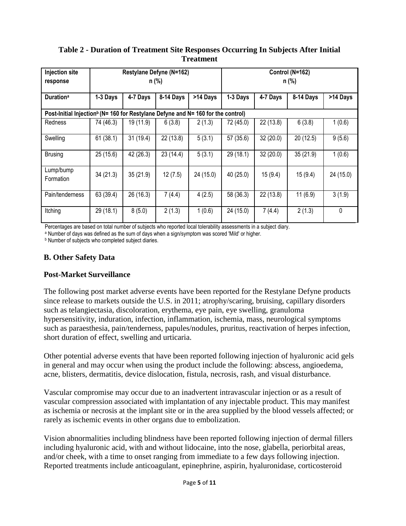| <b>Injection site</b>                                                                        | Restylane Defyne (N=162) |           |           |           | Control (N=162) |           |           |           |
|----------------------------------------------------------------------------------------------|--------------------------|-----------|-----------|-----------|-----------------|-----------|-----------|-----------|
| response                                                                                     |                          |           | n (%)     |           |                 |           | n (%)     |           |
| <b>Duration</b> <sup>a</sup>                                                                 | 1-3 Days                 | 4-7 Days  | 8-14 Days | >14 Days  | 1-3 Days        | 4-7 Days  | 8-14 Days | >14 Days  |
| Post-Initial Injection <sup>b</sup> (N= 160 for Restylane Defyne and N= 160 for the control) |                          |           |           |           |                 |           |           |           |
| <b>Redness</b>                                                                               | 74 (46.3)                | 19 (11.9) | 6(3.8)    | 2(1.3)    | 72 (45.0)       | 22 (13.8) | 6(3.8)    | 1(0.6)    |
| Swelling                                                                                     | 61(38.1)                 | 31(19.4)  | 22 (13.8) | 5(3.1)    | 57 (35.6)       | 32 (20.0) | 20(12.5)  | 9(5.6)    |
| <b>Brusing</b>                                                                               | 25(15.6)                 | 42 (26.3) | 23(14.4)  | 5(3.1)    | 29 (18.1)       | 32(20.0)  | 35(21.9)  | 1(0.6)    |
| Lump/bump<br>Formation                                                                       | 34 (21.3)                | 35(21.9)  | 12(7.5)   | 24 (15.0) | 40 (25.0)       | 15(9.4)   | 15(9.4)   | 24 (15.0) |
| Pain/tenderness                                                                              | 63 (39.4)                | 26 (16.3) | 7(4.4)    | 4(2.5)    | 58 (36.3)       | 22(13.8)  | 11(6.9)   | 3(1.9)    |
| Itching                                                                                      | 29 (18.1)                | 8(5.0)    | 2(1.3)    | 1(0.6)    | 24 (15.0)       | 7(4.4)    | 2(1.3)    | 0         |

### **Table 2 - Duration of Treatment Site Responses Occurring In Subjects After Initial Treatment**

Percentages are based on total number of subjects who reported local tolerability assessments in a subject diary.

a Number of days was defined as the sum of days when a sign/symptom was scored 'Mild' or higher.

**b** Number of subjects who completed subject diaries.

### **B. Other Safety Data**

#### **Post-Market Surveillance**

The following post market adverse events have been reported for the Restylane Defyne products since release to markets outside the U.S. in 2011; atrophy/scaring, bruising, capillary disorders such as telangiectasia, discoloration, erythema, eye pain, eye swelling, granuloma hypersensitivity, induration, infection, inflammation, ischemia, mass, neurological symptoms such as paraesthesia, pain/tenderness, papules/nodules, pruritus, reactivation of herpes infection, short duration of effect, swelling and urticaria.

Other potential adverse events that have been reported following injection of hyaluronic acid gels in general and may occur when using the product include the following: abscess, angioedema, acne, blisters, dermatitis, device dislocation, fistula, necrosis, rash, and visual disturbance.

Vascular compromise may occur due to an inadvertent intravascular injection or as a result of vascular compression associated with implantation of any injectable product. This may manifest as ischemia or necrosis at the implant site or in the area supplied by the blood vessels affected; or rarely as ischemic events in other organs due to embolization.

Vision abnormalities including blindness have been reported following injection of dermal fillers including hyaluronic acid, with and without lidocaine, into the nose, glabella, periorbital areas, and/or cheek, with a time to onset ranging from immediate to a few days following injection. Reported treatments include anticoagulant, epinephrine, aspirin, hyaluronidase, corticosteroid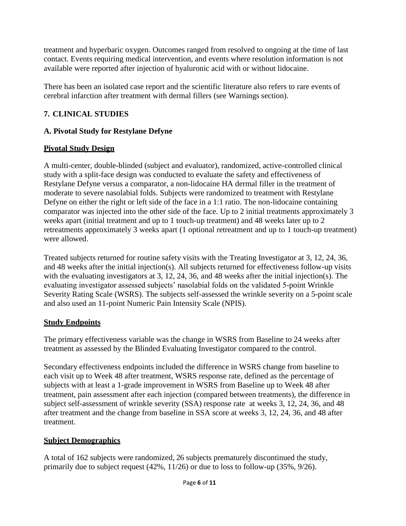treatment and hyperbaric oxygen. Outcomes ranged from resolved to ongoing at the time of last contact. Events requiring medical intervention, and events where resolution information is not available were reported after injection of hyaluronic acid with or without lidocaine.

There has been an isolated case report and the scientific literature also refers to rare events of cerebral infarction after treatment with dermal fillers (see Warnings section).

### **7. CLINICAL STUDIES**

### **A. Pivotal Study for Restylane Defyne**

### **Pivotal Study Design**

A multi-center, double-blinded (subject and evaluator), randomized, active-controlled clinical study with a split-face design was conducted to evaluate the safety and effectiveness of Restylane Defyne versus a comparator, a non-lidocaine HA dermal filler in the treatment of moderate to severe nasolabial folds. Subjects were randomized to treatment with Restylane Defyne on either the right or left side of the face in a 1:1 ratio. The non-lidocaine containing comparator was injected into the other side of the face. Up to 2 initial treatments approximately 3 weeks apart (initial treatment and up to 1 touch-up treatment) and 48 weeks later up to 2 retreatments approximately 3 weeks apart (1 optional retreatment and up to 1 touch-up treatment) were allowed.

Treated subjects returned for routine safety visits with the Treating Investigator at 3, 12, 24, 36, and 48 weeks after the initial injection(s). All subjects returned for effectiveness follow-up visits with the evaluating investigators at 3, 12, 24, 36, and 48 weeks after the initial injection(s). The evaluating investigator assessed subjects' nasolabial folds on the validated 5-point Wrinkle Severity Rating Scale (WSRS). The subjects self-assessed the wrinkle severity on a 5-point scale and also used an 11-point Numeric Pain Intensity Scale (NPIS).

### **Study Endpoints**

The primary effectiveness variable was the change in WSRS from Baseline to 24 weeks after treatment as assessed by the Blinded Evaluating Investigator compared to the control.

Secondary effectiveness endpoints included the difference in WSRS change from baseline to each visit up to Week 48 after treatment, WSRS response rate, defined as the percentage of subjects with at least a 1-grade improvement in WSRS from Baseline up to Week 48 after treatment, pain assessment after each injection (compared between treatments), the difference in subject self-assessment of wrinkle severity (SSA) response rate at weeks 3, 12, 24, 36, and 48 after treatment and the change from baseline in SSA score at weeks 3, 12, 24, 36, and 48 after treatment.

## **Subject Demographics**

A total of 162 subjects were randomized, 26 subjects prematurely discontinued the study, primarily due to subject request (42%, 11/26) or due to loss to follow-up (35%, 9/26).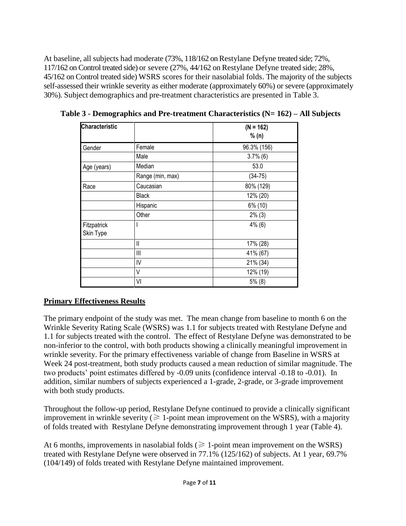At baseline, all subjects had moderate (73%, 118/162 on Restylane Defyne treated side; 72%, 117/162 on Control treated side) or severe (27%, 44/162 on Restylane Defyne treated side; 28%, 45/162 on Control treated side) WSRS scores for their nasolabial folds. The majority of the subjects self-assessed their wrinkle severity as either moderate (approximately 60%) or severe (approximately 30%). Subject demographics and pre-treatment characteristics are presented in Table 3.

| <b>Characteristic</b>    |                  | $(N = 162)$<br>% (n) |
|--------------------------|------------------|----------------------|
| Gender                   | Female           | 96.3% (156)          |
|                          | Male             | $3.7\%$ (6)          |
| Age (years)              | Median           | 53.0                 |
|                          | Range (min, max) | $(34-75)$            |
| Race                     | Caucasian        | 80% (129)            |
|                          | <b>Black</b>     | 12% (20)             |
|                          | Hispanic         | 6% (10)              |
|                          | Other            | $2\%$ (3)            |
| Fitzpatrick<br>Skin Type |                  | $4\%$ (6)            |
|                          | II               | 17% (28)             |
|                          | Ш                | 41% (67)             |
|                          | IV               | 21% (34)             |
|                          | V                | 12% (19)             |
|                          | VI               | $5\%$ (8)            |

**Table 3 - Demographics and Pre-treatment Characteristics (N= 162) – All Subjects**

### **Primary Effectiveness Results**

The primary endpoint of the study was met. The mean change from baseline to month 6 on the Wrinkle Severity Rating Scale (WSRS) was 1.1 for subjects treated with Restylane Defyne and 1.1 for subjects treated with the control. The effect of Restylane Defyne was demonstrated to be non-inferior to the control, with both products showing a clinically meaningful improvement in wrinkle severity. For the primary effectiveness variable of change from Baseline in WSRS at Week 24 post-treatment, both study products caused a mean reduction of similar magnitude. The two products' point estimates differed by -0.09 units (confidence interval -0.18 to -0.01). In addition, similar numbers of subjects experienced a 1-grade, 2-grade, or 3-grade improvement with both study products.

Throughout the follow-up period, Restylane Defyne continued to provide a clinically significant improvement in wrinkle severity ( $\geq 1$ -point mean improvement on the WSRS), with a majority of folds treated with Restylane Defyne demonstrating improvement through 1 year (Table 4).

At 6 months, improvements in nasolabial folds ( $\geq 1$ -point mean improvement on the WSRS) treated with Restylane Defyne were observed in 77.1% (125/162) of subjects. At 1 year, 69.7% (104/149) of folds treated with Restylane Defyne maintained improvement.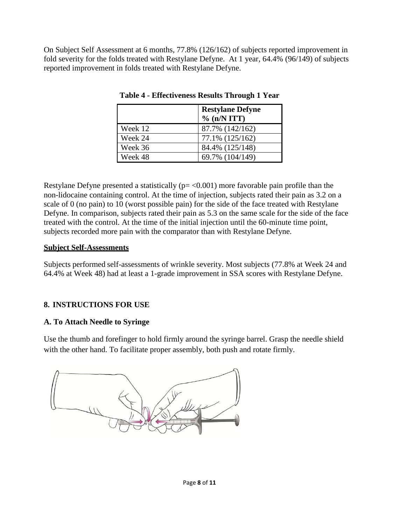On Subject Self Assessment at 6 months, 77.8% (126/162) of subjects reported improvement in fold severity for the folds treated with Restylane Defyne. At 1 year, 64.4% (96/149) of subjects reported improvement in folds treated with Restylane Defyne.

|         | <b>Restylane Defyne</b><br>$\%$ (n/N ITT) |
|---------|-------------------------------------------|
| Week 12 | 87.7% (142/162)                           |
| Week 24 | 77.1% (125/162)                           |
| Week 36 | 84.4% (125/148)                           |
| Week 48 | 69.7% (104/149)                           |

**Table 4 - Effectiveness Results Through 1 Year**

Restylane Defyne presented a statistically  $(p = 0.001)$  more favorable pain profile than the non-lidocaine containing control. At the time of injection, subjects rated their pain as 3.2 on a scale of 0 (no pain) to 10 (worst possible pain) for the side of the face treated with Restylane Defyne. In comparison, subjects rated their pain as 5.3 on the same scale for the side of the face treated with the control. At the time of the initial injection until the 60-minute time point, subjects recorded more pain with the comparator than with Restylane Defyne.

#### **Subject Self-Assessments**

Subjects performed self-assessments of wrinkle severity. Most subjects (77.8% at Week 24 and 64.4% at Week 48) had at least a 1-grade improvement in SSA scores with Restylane Defyne.

### **8. INSTRUCTIONS FOR USE**

### **A. To Attach Needle to Syringe**

Use the thumb and forefinger to hold firmly around the syringe barrel. Grasp the needle shield with the other hand. To facilitate proper assembly, both push and rotate firmly.

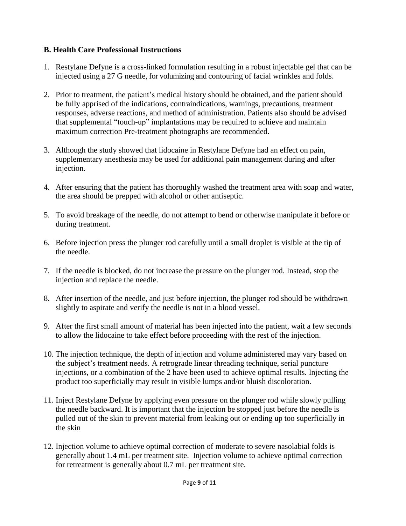#### **B. Health Care Professional Instructions**

- 1. Restylane Defyne is a cross-linked formulation resulting in a robust injectable gel that can be injected using a 27 G needle, for volumizing and contouring of facial wrinkles and folds.
- 2. Prior to treatment, the patient's medical history should be obtained, and the patient should be fully apprised of the indications, contraindications, warnings, precautions, treatment responses, adverse reactions, and method of administration. Patients also should be advised that supplemental "touch-up" implantations may be required to achieve and maintain maximum correction Pre-treatment photographs are recommended.
- 3. Although the study showed that lidocaine in Restylane Defyne had an effect on pain, supplementary anesthesia may be used for additional pain management during and after injection.
- 4. After ensuring that the patient has thoroughly washed the treatment area with soap and water, the area should be prepped with alcohol or other antiseptic.
- 5. To avoid breakage of the needle, do not attempt to bend or otherwise manipulate it before or during treatment.
- 6. Before injection press the plunger rod carefully until a small droplet is visible at the tip of the needle.
- 7. If the needle is blocked, do not increase the pressure on the plunger rod. Instead, stop the injection and replace the needle.
- 8. After insertion of the needle, and just before injection, the plunger rod should be withdrawn slightly to aspirate and verify the needle is not in a blood vessel.
- 9. After the first small amount of material has been injected into the patient, wait a few seconds to allow the lidocaine to take effect before proceeding with the rest of the injection.
- 10. The injection technique, the depth of injection and volume administered may vary based on the subject's treatment needs. A retrograde linear threading technique, serial puncture injections, or a combination of the 2 have been used to achieve optimal results. Injecting the product too superficially may result in visible lumps and/or bluish discoloration.
- 11. Inject Restylane Defyne by applying even pressure on the plunger rod while slowly pulling the needle backward. It is important that the injection be stopped just before the needle is pulled out of the skin to prevent material from leaking out or ending up too superficially in the skin
- 12. Injection volume to achieve optimal correction of moderate to severe nasolabial folds is generally about 1.4 mL per treatment site. Injection volume to achieve optimal correction for retreatment is generally about 0.7 mL per treatment site.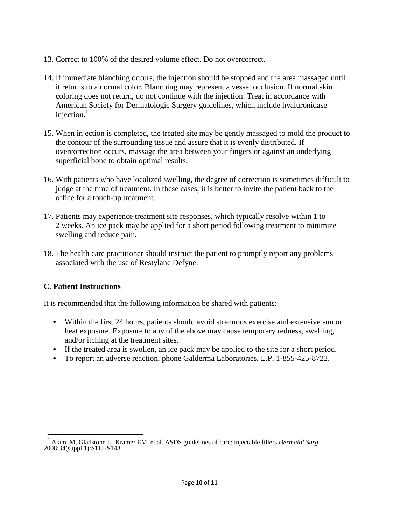- 13. Correct to 100% of the desired volume effect. Do not overcorrect.
- 14. If immediate blanching occurs, the injection should be stopped and the area massaged until it returns to a normal color. Blanching may represent a vessel occlusion. If normal skin coloring does not return, do not continue with the injection. Treat in accordance with American Society for Dermatologic Surgery guidelines, which include hyaluronidase injection. $<sup>1</sup>$ </sup>
- 15. When injection is completed, the treated site may be gently massaged to mold the product to the contour of the surrounding tissue and assure that it is evenly distributed. If overcorrection occurs, massage the area between your fingers or against an underlying superficial bone to obtain optimal results.
- 16. With patients who have localized swelling, the degree of correction is sometimes difficult to judge at the time of treatment. In these cases, it is better to invite the patient back to the office for a touch-up treatment.
- 17. Patients may experience treatment site responses, which typically resolve within 1 to 2 weeks. An ice pack may be applied for a short period following treatment to minimize swelling and reduce pain.
- 18. The health care practitioner should instruct the patient to promptly report any problems associated with the use of Restylane Defyne.

### **C. Patient Instructions**

It is recommended that the following information be shared with patients:

- Within the first 24 hours, patients should avoid strenuous exercise and extensive sun or heat exposure. Exposure to any of the above may cause temporary redness, swelling, and/or itching at the treatment sites.
- If the treated area is swollen, an ice pack may be applied to the site for a short period.
- To report an adverse reaction, phone Galderma Laboratories, L.P, 1-855-425-8722.

<sup>1</sup> Alam, M, Gladstone H, Kramer EM, et al. ASDS guidelines of care: injectable fillers *Dermatol Surg.* 2008;34(suppl 1):S115-S148.